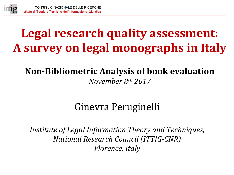

# Legal research quality assessment: **A survey on legal monographs in Italy**

#### Non-Bibliometric Analysis of book evaluation *November 8th 2017*

## Ginevra Peruginelli

*Institute of Legal Information Theory and Techniques, National Research Council (ITTIG-CNR) Florence, Italy*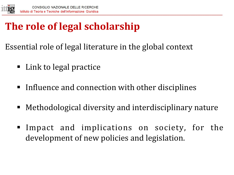

# **The role of legal scholarship**

Essential role of legal literature in the global context

- Link to legal practice
- Influence and connection with other disciplines
- Methodological diversity and interdisciplinary nature
- Impact and implications on society, for the development of new policies and legislation.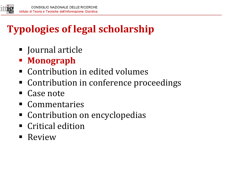

# **Typologies of legal scholarship**

- Journal article
- § **Monograph**
- Contribution in edited volumes
- Contribution in conference proceedings
- Case note
- § Commentaries
- Contribution on encyclopedias
- Critical edition
- Review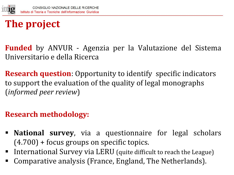

# **The project**

**Funded** by ANVUR - Agenzia per la Valutazione del Sistema Universitario e della Ricerca 

**Research question**: Opportunity to identify specific indicators to support the evaluation of the quality of legal monographs (*informed peer review*) 

#### **Research methodology:**

- **National survey**, via a questionnaire for legal scholars  $(4.700)$  + focus groups on specific topics.
- International Survey via LERU (quite difficult to reach the League)
- Comparative analysis (France, England, The Netherlands).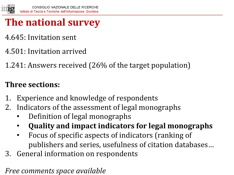

## **The national survey**

- 4.645: Invitation sent
- 4.501: Invitation arrived
- 1.241: Answers received (26% of the target population)

#### **Three sections:**

- 1. Experience and knowledge of respondents
- 2. Indicators of the assessment of legal monographs
	- Definition of legal monographs
	- **Quality and impact indicators for legal monographs**
	- Focus of specific aspects of indicators (ranking of publishers and series, usefulness of citation databases...
- 3. General information on respondents

*Free comments space available*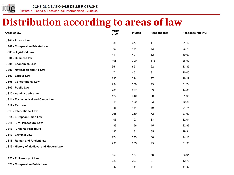

#### **Distribution according to areas of law**

| Areas of law                                | <b>MIUR</b><br>staff | Invited | <b>Respondents</b> | Response rate (%) |
|---------------------------------------------|----------------------|---------|--------------------|-------------------|
| <b>IUS01 - Private Law</b>                  | 688                  | 677     | 143                | 21,12             |
| <b>IUS02 - Comparative Private Law</b>      |                      |         |                    |                   |
| IUS03 - Agri-food Law                       | 162                  | 161     | 43                 | 26,71             |
| <b>IUS04 - Business law</b>                 | 41                   | 40      | 12                 | 30,00             |
| <b>IUS05 - Economics Law</b>                | 408                  | 390     | 113                | 28,97             |
| <b>IUS06 - Navigation and Air Law</b>       | 66                   | 65      | 22                 | 33,85             |
| <b>IUS07 - Labour Law</b>                   | 47                   | 45      | 9                  | 20,00             |
| <b>IUS08 - Constitutional Law</b>           | 295                  | 294     | 77                 | 26,19             |
| <b>IUS09 - Public Law</b>                   | 234                  | 230     | 73                 | 31,74             |
| <b>IUS10 - Administrative law</b>           | 285                  | 277     | 39                 | 14,08             |
| <b>IUS11 - Ecclesiastical and Canon Law</b> | 422                  | 410     | 90                 | 21,95             |
| <b>IUS12 - Tax Law</b>                      | 111                  | 109     | 33                 | 30,28             |
|                                             | 186                  | 184     | 40                 | 21,74             |
| <b>IUS13 - International Law</b>            | 265                  | 260     | 72                 | 27,69             |
| <b>IUS14 - European Union Law</b>           | 106                  | 103     | 33                 | 32,04             |
| <b>IUS15 - Civil Procedural Law</b>         | 199                  | 196     | 45                 | 22,96             |
| <b>IUS16 - Criminal Procedure</b>           | 185                  | 181     | 35                 | 19,34             |
| <b>IUS17 - Criminal Law</b>                 | 274                  | 273     | 66                 | 24,18             |
| <b>IUS18 - Roman and Ancient law</b>        | 235                  | 235     | 75                 | 31,91             |
| IUS19 - History of Medieval and Modern Law  |                      |         |                    |                   |
|                                             | 159                  | 157     | 58                 | 36,94             |
| IUS20 - Philosophy of Law                   | 229                  | 227     | 97                 | 42,73             |
| <b>IUS21 - Comparative Public Law</b>       | 132                  | 131     | 41                 | 31,30             |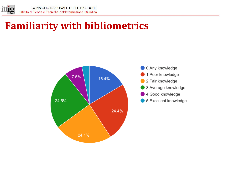

#### **Familiarity with bibliometrics**



0 Any knowledge 1 Poor knowledge 2 Fair knowledge 3 Average knowledge 4 Good knowledge 5 Excellent knowledge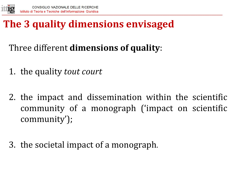

## **The 3 quality dimensions envisaged**

- Three different **dimensions of quality**:
- 1. the quality *tout court*
- 2. the impact and dissemination within the scientific community of a monograph ('impact on scientific community');
- 3. the societal impact of a monograph.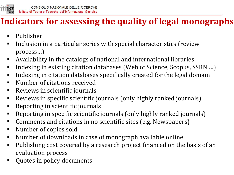

#### **Indicators for assessing the quality of legal monographs**

- Publisher
- Inclusion in a particular series with special characteristics (review process…)
- Availability in the catalogs of national and international libraries
- Indexing in existing citation databases (Web of Science, Scopus, SSRN ...)
- **EXTEDE:** Indexing in citation databases specifically created for the legal domain
- Number of citations received
- Reviews in scientific journals
- Reviews in specific scientific journals (only highly ranked journals)
- Reporting in scientific journals
- Reporting in specific scientific journals (only highly ranked journals)
- Comments and citations in no scientific sites (e.g. Newspapers)
- Number of copies sold
- Number of downloads in case of monograph available online
- Publishing cost covered by a research project financed on the basis of an evaluation process
- Quotes in policy documents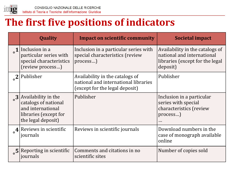

#### **The first five positions of indicators**

| <b>Quality</b>                                                                                                                | <b>Impact on scientific community</b>                                                                     | Societal impact                                                                                              |
|-------------------------------------------------------------------------------------------------------------------------------|-----------------------------------------------------------------------------------------------------------|--------------------------------------------------------------------------------------------------------------|
| $\sigma$ 1 Inclusion in a<br>particular series with<br>special characteristics<br>(review process)                            | Inclusion in a particular series with<br>special characteristics (review<br>process)                      | Availability in the catalogs of<br>national and international<br>libraries (except for the legal<br>deposit) |
| $\frac{1}{2}$  Publisher                                                                                                      | Availability in the catalogs of<br>national and international libraries<br>(except for the legal deposit) | Publisher                                                                                                    |
| $\frac{3}{2}$ Availability in the<br>catalogs of national<br>and international<br>libraries (except for<br>the legal deposit) | Publisher                                                                                                 | Inclusion in a particular<br>series with special<br>characteristics (review<br>process)<br>$\cdots$          |
| $\mathbf{A}$ Reviews in scientific<br>journals                                                                                | Reviews in scientific journals                                                                            | Download numbers in the<br>case of monograph available<br>online                                             |
| $\sim$ 5 Reporting in scientific<br>journals                                                                                  | Comments and citations in no<br>scientific sites                                                          | Number of copies sold                                                                                        |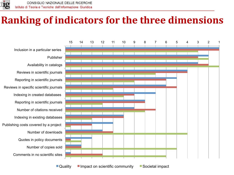

## **Ranking of indicators for the three dimensions**

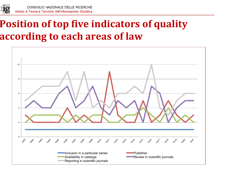

## **Position of top five indicators of quality according to each areas of law**

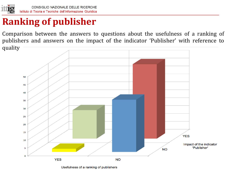

#### **Ranking of publisher**

Comparison between the answers to questions about the usefulness of a ranking of publishers and answers on the impact of the indicator 'Publisher' with reference to quality 



Usefulness of a ranking of publishers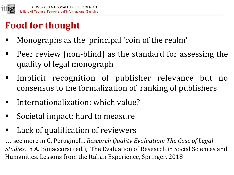

# **Food for thought**

- Monographs as the principal 'coin of the realm'
- Peer review (non-blind) as the standard for assessing the quality of legal monograph
- **Implicit recognition of publisher relevance but no** consensus to the formalization of ranking of publishers
- Internationalization: which value?
- Societal impact: hard to measure
- Lack of qualification of reviewers

... see more in G. Peruginelli, *Research Quality Evaluation: The Case of Legal Studies*, in A. Bonaccorsi (ed.), The Evaluation of Research in Social Sciences and Humanities. Lessons from the Italian Experience, Springer, 2018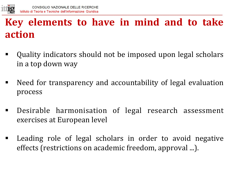

## **Key** elements to have in mind and to take **action**

- Quality indicators should not be imposed upon legal scholars in a top down way
- Need for transparency and accountability of legal evaluation process
- Desirable harmonisation of legal research assessment exercises at European level
- Leading role of legal scholars in order to avoid negative effects (restrictions on academic freedom, approval ...).